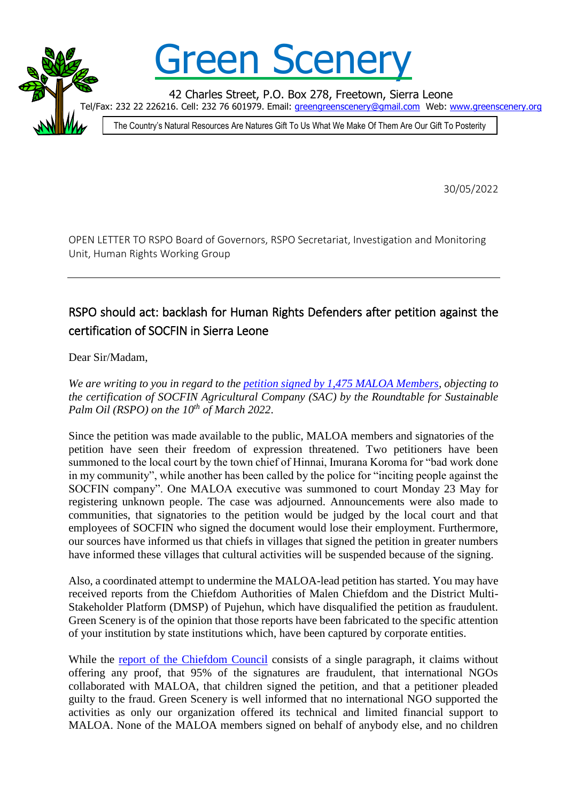

## Green Scener

42 Charles Street, P.O. Box 278, Freetown, Sierra Leone

/Fax: 232 22 226216. Cell: 232 76 601979. Email: [greengreenscenery@gmail.com](mailto:greengreenscenery@gmail.com) Web: [www.greenscenery.org](http://www.greenscenery.org/)

The Country's Natural Resources Are Natures Gift To Us What We Make Of Them Are Our Gift To Posterity

30/05/2022

OPEN LETTER TO RSPO Board of Governors, RSPO Secretariat, Investigation and Monitoring Unit, Human Rights Working Group

## RSPO should act: backlash for Human Rights Defenders after petition against the certification of SOCFIN in Sierra Leone

Dear Sir/Madam,

*We are writing to you in regard to the [petition signed by 1,475 MALOA Members,](http://greenscenery.org/wp-content/uploads/2022/04/220321-MALOA-RSPO-petition.pdf) objecting to the certification of SOCFIN Agricultural Company (SAC) by the Roundtable for Sustainable Palm Oil (RSPO) on the 10th of March 2022*.

Since the petition was made available to the public, MALOA members and signatories of the petition have seen their freedom of expression threatened. Two petitioners have been summoned to the local court by the town chief of Hinnai, Imurana Koroma for "bad work done in my community", while another has been called by the police for "inciting people against the SOCFIN company". One MALOA executive was summoned to court Monday 23 May for registering unknown people. The case was adjourned. Announcements were also made to communities, that signatories to the petition would be judged by the local court and that employees of SOCFIN who signed the document would lose their employment. Furthermore, our sources have informed us that chiefs in villages that signed the petition in greater numbers have informed these villages that cultural activities will be suspended because of the signing.

Also, a coordinated attempt to undermine the MALOA-lead petition has started. You may have received reports from the Chiefdom Authorities of Malen Chiefdom and the District Multi-Stakeholder Platform (DMSP) of Pujehun, which have disqualified the petition as fraudulent. Green Scenery is of the opinion that those reports have been fabricated to the specific attention of your institution by state institutions which, have been captured by corporate entities.

While the [report of the Chiefdom Council](http://slobserver.org/wp-content/uploads/2022/05/220509-Malen-PC-Report-of-investigation-into-Petition.pdf) consists of a single paragraph, it claims without offering any proof, that 95% of the signatures are fraudulent, that international NGOs collaborated with MALOA, that children signed the petition, and that a petitioner pleaded guilty to the fraud. Green Scenery is well informed that no international NGO supported the activities as only our organization offered its technical and limited financial support to MALOA. None of the MALOA members signed on behalf of anybody else, and no children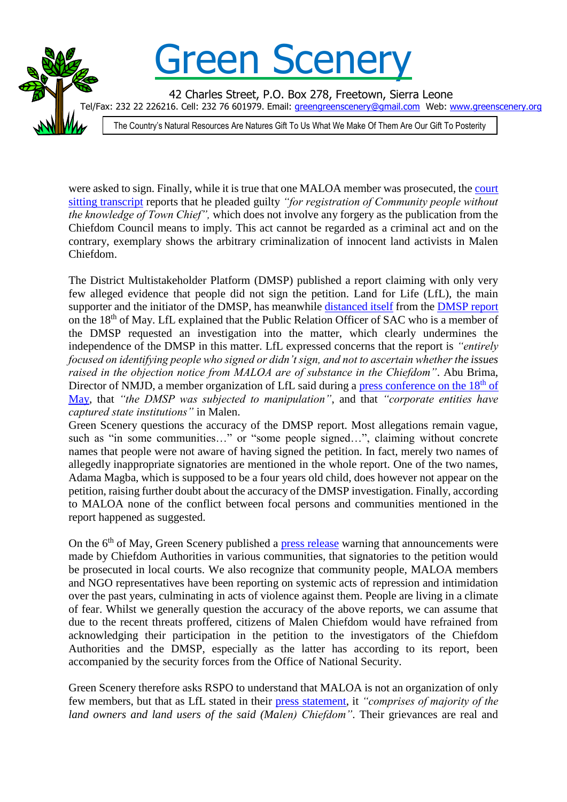

were asked to sign. Finally, while it is true that one MALOA member was prosecuted, th[e court](http://slobserver.org/wp-content/uploads/2022/05/Brima-Thomas-Court-judgement.jpeg)  [sitting transcript](http://slobserver.org/wp-content/uploads/2022/05/Brima-Thomas-Court-judgement.jpeg) reports that he pleaded guilty *"for registration of Community people without the knowledge of Town Chief",* which does not involve any forgery as the publication from the Chiefdom Council means to imply. This act cannot be regarded as a criminal act and on the contrary, exemplary shows the arbitrary criminalization of innocent land activists in Malen Chiefdom.

The District Multistakeholder Platform (DMSP) published a report claiming with only very few alleged evidence that people did not sign the petition. Land for Life (LfL), the main supporter and the initiator of the DMSP, has meanwhile [distanced itself](http://greenscenery.org/wp-content/uploads/2022/05/LfL_PRESS-STATEMENT-ON-MALEN-SITUATION-18.05.2022.pdf) from the [DMSP report](http://slobserver.org/wp-content/uploads/2022/05/DISTRICT-MULTI-STAKEHOLDERS-PLATFORM-REPORT-ON-MALOA-PETITION-A.pdf) on the 18th of May. LfL explained that the Public Relation Officer of SAC who is a member of the DMSP requested an investigation into the matter, which clearly undermines the independence of the DMSP in this matter. LfL expressed concerns that the report is *"entirely focused on identifying people who signed or didn't sign, and not to ascertain whether the issues raised in the objection notice from MALOA are of substance in the Chiefdom"*. Abu Brima, Director of NMJD, a member organization of LfL said during a [press conference on the 18](https://www.facebook.com/LfLSierraLeone/videos/1063041267647292)<sup>th</sup> of [May,](https://www.facebook.com/LfLSierraLeone/videos/1063041267647292) that *"the DMSP was subjected to manipulation"*, and that *"corporate entities have captured state institutions"* in Malen.

Green Scenery questions the accuracy of the DMSP report. Most allegations remain vague, such as "in some communities..." or "some people signed...", claiming without concrete names that people were not aware of having signed the petition. In fact, merely two names of allegedly inappropriate signatories are mentioned in the whole report. One of the two names, Adama Magba, which is supposed to be a four years old child, does however not appear on the petition, raising further doubt about the accuracy of the DMSP investigation. Finally, according to MALOA none of the conflict between focal persons and communities mentioned in the report happened as suggested.

On the  $6<sup>th</sup>$  of May, Green Scenery published a [press release](http://greenscenery.org/wp-content/uploads/2022/05/220506-Green-Scenery-Harassment-of-Land-Rights-Activist-in-Malen-Chiefdom.pdf) warning that announcements were made by Chiefdom Authorities in various communities, that signatories to the petition would be prosecuted in local courts. We also recognize that community people, MALOA members and NGO representatives have been reporting on systemic acts of repression and intimidation over the past years, culminating in acts of violence against them. People are living in a climate of fear. Whilst we generally question the accuracy of the above reports, we can assume that due to the recent threats proffered, citizens of Malen Chiefdom would have refrained from acknowledging their participation in the petition to the investigators of the Chiefdom Authorities and the DMSP, especially as the latter has according to its report, been accompanied by the security forces from the Office of National Security.

Green Scenery therefore asks RSPO to understand that MALOA is not an organization of only few members, but that as LfL stated in their [press statement,](http://greenscenery.org/wp-content/uploads/2022/05/LfL_PRESS-STATEMENT-ON-MALEN-SITUATION-18.05.2022.pdf) it *"comprises of majority of the land owners and land users of the said (Malen) Chiefdom"*. Their grievances are real and